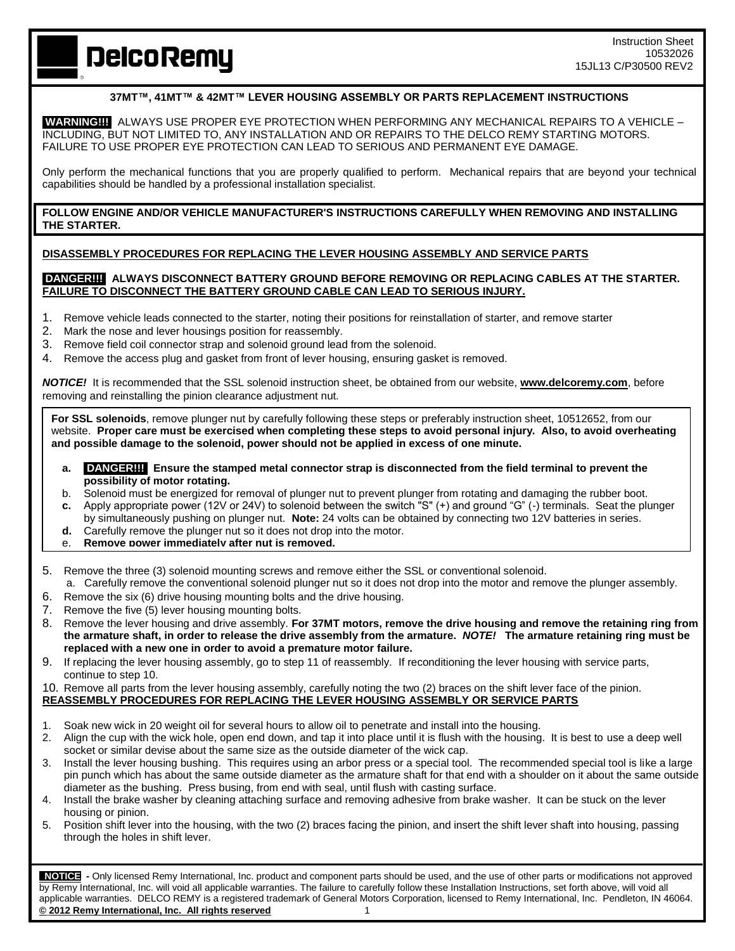# **DelcoRemy**

## **37MT™, 41MT™ & 42MT™ LEVER HOUSING ASSEMBLY OR PARTS REPLACEMENT INSTRUCTIONS**

**WARNING!!!** ALWAYS USE PROPER EYE PROTECTION WHEN PERFORMING ANY MECHANICAL REPAIRS TO A VEHICLE – INCLUDING, BUT NOT LIMITED TO, ANY INSTALLATION AND OR REPAIRS TO THE DELCO REMY STARTING MOTORS. FAILURE TO USE PROPER EYE PROTECTION CAN LEAD TO SERIOUS AND PERMANENT EYE DAMAGE.

Only perform the mechanical functions that you are properly qualified to perform. Mechanical repairs that are beyond your technical capabilities should be handled by a professional installation specialist.

## **FOLLOW ENGINE AND/OR VEHICLE MANUFACTURER'S INSTRUCTIONS CAREFULLY WHEN REMOVING AND INSTALLING THE STARTER.**

# **DISASSEMBLY PROCEDURES FOR REPLACING THE LEVER HOUSING ASSEMBLY AND SERVICE PARTS**

## **DANGER!!! ALWAYS DISCONNECT BATTERY GROUND BEFORE REMOVING OR REPLACING CABLES AT THE STARTER. FAILURE TO DISCONNECT THE BATTERY GROUND CABLE CAN LEAD TO SERIOUS INJURY.**

- 1. Remove vehicle leads connected to the starter, noting their positions for reinstallation of starter, and remove starter
- 2. Mark the nose and lever housings position for reassembly.
- 3. Remove field coil connector strap and solenoid ground lead from the solenoid.
- 4. Remove the access plug and gasket from front of lever housing, ensuring gasket is removed.

*NOTICE!* It is recommended that the SSL solenoid instruction sheet, be obtained from our website, **[www.delcoremy.com](http://www.delcoremy.com/)**, before removing and reinstalling the pinion clearance adjustment nut.

**For SSL solenoids**, remove plunger nut by carefully following these steps or preferably instruction sheet, 10512652, from our website. **Proper care must be exercised when completing these steps to avoid personal injury. Also, to avoid overheating and possible damage to the solenoid, power should not be applied in excess of one minute.**

- **a. DANGER!!! Ensure the stamped metal connector strap is disconnected from the field terminal to prevent the possibility of motor rotating.**
- b. Solenoid must be energized for removal of plunger nut to prevent plunger from rotating and damaging the rubber boot.
- **c.** Apply appropriate power (12V or 24V) to solenoid between the switch "S" (+) and ground "G" (-) terminals. Seat the plunger by simultaneously pushing on plunger nut. **Note:** 24 volts can be obtained by connecting two 12V batteries in series.
- **d.** Carefully remove the plunger nut so it does not drop into the motor.
- e. **Remove power immediately after nut is removed.**
- 5. Remove the three (3) solenoid mounting screws and remove either the SSL or conventional solenoid.
- a. Carefully remove the conventional solenoid plunger nut so it does not drop into the motor and remove the plunger assembly.
- 6. Remove the six (6) drive housing mounting bolts and the drive housing.
- 7. Remove the five (5) lever housing mounting bolts.
- 8. Remove the lever housing and drive assembly. **For 37MT motors, remove the drive housing and remove the retaining ring from the armature shaft, in order to release the drive assembly from the armature.** *NOTE!* **The armature retaining ring must be replaced with a new one in order to avoid a premature motor failure.**
- 9. If replacing the lever housing assembly, go to step 11 of reassembly. If reconditioning the lever housing with service parts, continue to step 10.

10. Remove all parts from the lever housing assembly, carefully noting the two (2) braces on the shift lever face of the pinion. **REASSEMBLY PROCEDURES FOR REPLACING THE LEVER HOUSING ASSEMBLY OR SERVICE PARTS** 

- 1. Soak new wick in 20 weight oil for several hours to allow oil to penetrate and install into the housing.
- 2. Align the cup with the wick hole, open end down, and tap it into place until it is flush with the housing. It is best to use a deep well socket or similar devise about the same size as the outside diameter of the wick cap.
- 3. Install the lever housing bushing. This requires using an arbor press or a special tool. The recommended special tool is like a large pin punch which has about the same outside diameter as the armature shaft for that end with a shoulder on it about the same outside diameter as the bushing. Press busing, from end with seal, until flush with casting surface.
- 4. Install the brake washer by cleaning attaching surface and removing adhesive from brake washer. It can be stuck on the lever housing or pinion.
- 5. Position shift lever into the housing, with the two (2) braces facing the pinion, and insert the shift lever shaft into housing, passing through the holes in shift lever.

 **NOTICE -** Only licensed Remy International, Inc. product and component parts should be used, and the use of other parts or modifications not approved by Remy International, Inc. will void all applicable warranties. The failure to carefully follow these Installation Instructions, set forth above, will void all applicable warranties. DELCO REMY is a registered trademark of General Motors Corporation, licensed to Remy International, Inc. Pendleton, IN 46064. **© 2012 Remy International, Inc. All rights reserved** 1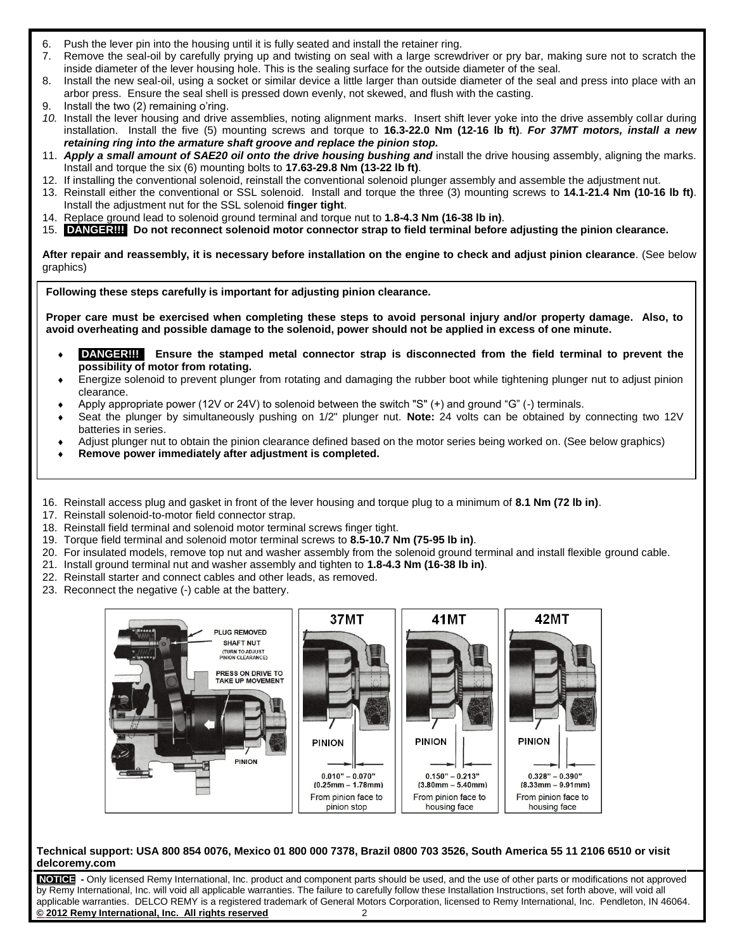- 6. Push the lever pin into the housing until it is fully seated and install the retainer ring.
- 7. Remove the seal-oil by carefully prying up and twisting on seal with a large screwdriver or pry bar, making sure not to scratch the inside diameter of the lever housing hole. This is the sealing surface for the outside diameter of the seal.
- 8. Install the new seal-oil, using a socket or similar device a little larger than outside diameter of the seal and press into place with an arbor press. Ensure the seal shell is pressed down evenly, not skewed, and flush with the casting.
- 9. Install the two (2) remaining o'ring.
- *10.* Install the lever housing and drive assemblies, noting alignment marks. Insert shift lever yoke into the drive assembly collar during installation. Install the five (5) mounting screws and torque to **16.3-22.0 Nm (12-16 lb ft)**. *For 37MT motors, install a new retaining ring into the armature shaft groove and replace the pinion stop.*
- 11. *Apply a small amount of SAE20 oil onto the drive housing bushing and* install the drive housing assembly, aligning the marks. Install and torque the six (6) mounting bolts to **17.63-29.8 Nm (13-22 lb ft)**.
- 12. If installing the conventional solenoid, reinstall the conventional solenoid plunger assembly and assemble the adjustment nut.
- 13. Reinstall either the conventional or SSL solenoid. Install and torque the three (3) mounting screws to **14.1-21.4 Nm (10-16 lb ft)**. Install the adjustment nut for the SSL solenoid **finger tight**.
- 14. Replace ground lead to solenoid ground terminal and torque nut to **1.8-4.3 Nm (16-38 lb in)**.
- 15. **DANGER!!! Do not reconnect solenoid motor connector strap to field terminal before adjusting the pinion clearance.**

**After repair and reassembly, it is necessary before installation on the engine to check and adjust pinion clearance**. (See below graphics)

**Following these steps carefully is important for adjusting pinion clearance.**

**Proper care must be exercised when completing these steps to avoid personal injury and/or property damage. Also, to avoid overheating and possible damage to the solenoid, power should not be applied in excess of one minute.**

- **DANGER!!!** Ensure the stamped metal connector strap is disconnected from the field terminal to prevent the **possibility of motor from rotating.**
- Energize solenoid to prevent plunger from rotating and damaging the rubber boot while tightening plunger nut to adjust pinion clearance.
- Apply appropriate power (12V or 24V) to solenoid between the switch "S" (+) and ground "G" (-) terminals.
- Seat the plunger by simultaneously pushing on 1/2" plunger nut. **Note:** 24 volts can be obtained by connecting two 12V batteries in series.
- Adjust plunger nut to obtain the pinion clearance defined based on the motor series being worked on. (See below graphics)
- **Remove power immediately after adjustment is completed.**
- 16. Reinstall access plug and gasket in front of the lever housing and torque plug to a minimum of **8.1 Nm (72 lb in)**.
- 17. Reinstall solenoid-to-motor field connector strap.
- 18. Reinstall field terminal and solenoid motor terminal screws finger tight.
- 19. Torque field terminal and solenoid motor terminal screws to **8.5-10.7 Nm (75-95 lb in)**.
- 20. For insulated models, remove top nut and washer assembly from the solenoid ground terminal and install flexible ground cable.
- 21. Install ground terminal nut and washer assembly and tighten to **1.8-4.3 Nm (16-38 lb in)**.
- 22. Reinstall starter and connect cables and other leads, as removed.
- 23. Reconnect the negative (-) cable at the battery.



## **Technical support: USA 800 854 0076, Mexico 01 800 000 7378, Brazil 0800 703 3526, South America 55 11 2106 6510 or visit delcoremy.com**

**NOTICE -** Only licensed Remy International, Inc. product and component parts should be used, and the use of other parts or modifications not approved by Remy International, Inc. will void all applicable warranties. The failure to carefully follow these Installation Instructions, set forth above, will void all applicable warranties. DELCO REMY is a registered trademark of General Motors Corporation, licensed to Remy International, Inc. Pendleton, IN 46064. **© 2012 Remy International, Inc. All rights reserved** 2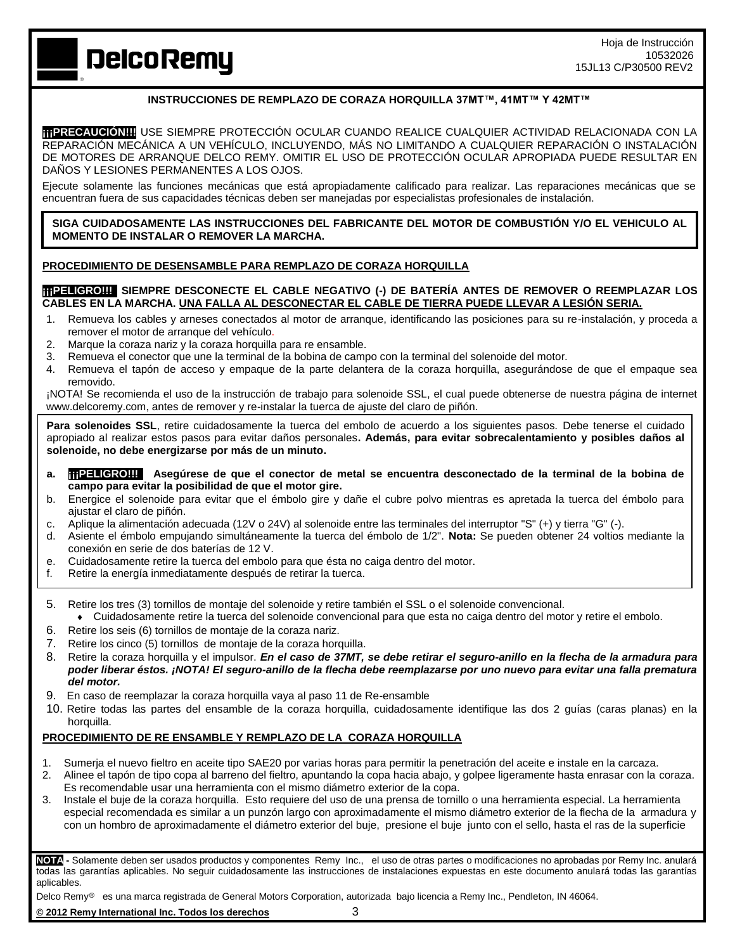**DelcoRemy** 

# **INSTRUCCIONES DE REMPLAZO DE CORAZA HORQUILLA 37MT™, 41MT™ Y 42MT™**

**¡¡¡PRECAUCIÓN!!!** USE SIEMPRE PROTECCIÓN OCULAR CUANDO REALICE CUALQUIER ACTIVIDAD RELACIONADA CON LA REPARACIÓN MECÁNICA A UN VEHÍCULO, INCLUYENDO, MÁS NO LIMITANDO A CUALQUIER REPARACIÓN O INSTALACIÓN DE MOTORES DE ARRANQUE DELCO REMY. OMITIR EL USO DE PROTECCIÓN OCULAR APROPIADA PUEDE RESULTAR EN DAÑOS Y LESIONES PERMANENTES A LOS OJOS.

Ejecute solamente las funciones mecánicas que está apropiadamente calificado para realizar. Las reparaciones mecánicas que se encuentran fuera de sus capacidades técnicas deben ser manejadas por especialistas profesionales de instalación.

### **SIGA CUIDADOSAMENTE LAS INSTRUCCIONES DEL FABRICANTE DEL MOTOR DE COMBUSTIÓN Y/O EL VEHICULO AL MOMENTO DE INSTALAR O REMOVER LA MARCHA.**

## **PROCEDIMIENTO DE DESENSAMBLE PARA REMPLAZO DE CORAZA HORQUILLA**

## **¡¡¡PELIGRO!!! SIEMPRE DESCONECTE EL CABLE NEGATIVO (-) DE BATERÍA ANTES DE REMOVER O REEMPLAZAR LOS CABLES EN LA MARCHA. UNA FALLA AL DESCONECTAR EL CABLE DE TIERRA PUEDE LLEVAR A LESIÓN SERIA.**

- 1. Remueva los cables y arneses conectados al motor de arranque, identificando las posiciones para su re-instalación, y proceda a remover el motor de arranque del vehículo.
- 2. Marque la coraza nariz y la coraza horquilla para re ensamble.
- 3. Remueva el conector que une la terminal de la bobina de campo con la terminal del solenoide del motor.
- 4. Remueva el tapón de acceso y empaque de la parte delantera de la coraza horquilla, asegurándose de que el empaque sea removido.

¡NOTA! Se recomienda el uso de la instrucción de trabajo para solenoide SSL, el cual puede obtenerse de nuestra página de internet www.delcoremy.com, antes de remover y re-instalar la tuerca de ajuste del claro de piñón.

Para solenoides SSL, retire cuidadosamente la tuerca del embolo de acuerdo a los siguientes pasos. Debe tenerse el cuidado apropiado al realizar estos pasos para evitar daños personales**. Además, para evitar sobrecalentamiento y posibles daños al solenoide, no debe energizarse por más de un minuto.**

- **a. ¡¡¡PELIGRO!!! Asegúrese de que el conector de metal se encuentra desconectado de la terminal de la bobina de campo para evitar la posibilidad de que el motor gire.**
- b. Energice el solenoide para evitar que el émbolo gire y dañe el cubre polvo mientras es apretada la tuerca del émbolo para ajustar el claro de piñón.
- c. Aplique la alimentación adecuada (12V o 24V) al solenoide entre las terminales del interruptor "S" (+) y tierra "G" (-).
- d. Asiente el émbolo empujando simultáneamente la tuerca del émbolo de 1/2". **Nota:** Se pueden obtener 24 voltios mediante la conexión en serie de dos baterías de 12 V.
- e. Cuidadosamente retire la tuerca del embolo para que ésta no caiga dentro del motor.
- f. Retire la energía inmediatamente después de retirar la tuerca.
- 5. Retire los tres (3) tornillos de montaje del solenoide y retire también el SSL o el solenoide convencional.
	- Cuidadosamente retire la tuerca del solenoide convencional para que esta no caiga dentro del motor y retire el embolo.
- 6. Retire los seis (6) tornillos de montaje de la coraza nariz.
- 7. Retire los cinco (5) tornillos de montaje de la coraza horquilla.
- 8. Retire la coraza horquilla y el impulsor. *En el caso de 37MT, se debe retirar el seguro-anillo en la flecha de la armadura para poder liberar éstos. ¡NOTA! El seguro-anillo de la flecha debe reemplazarse por uno nuevo para evitar una falla prematura del motor.*
- 9. En caso de reemplazar la coraza horquilla vaya al paso 11 de Re-ensamble
- 10. Retire todas las partes del ensamble de la coraza horquilla, cuidadosamente identifique las dos 2 guías (caras planas) en la horquilla.

## **PROCEDIMIENTO DE RE ENSAMBLE Y REMPLAZO DE LA CORAZA HORQUILLA**

- 1. Sumerja el nuevo fieltro en aceite tipo SAE20 por varias horas para permitir la penetración del aceite e instale en la carcaza.
- 2. Alinee el tapón de tipo copa al barreno del fieltro, apuntando la copa hacia abajo, y golpee ligeramente hasta enrasar con la coraza. Es recomendable usar una herramienta con el mismo diámetro exterior de la copa.
- 3. Instale el buje de la coraza horquilla. Esto requiere del uso de una prensa de tornillo o una herramienta especial. La herramienta especial recomendada es similar a un punzón largo con aproximadamente el mismo diámetro exterior de la flecha de la armadura y con un hombro de aproximadamente el diámetro exterior del buje, presione el buje junto con el sello, hasta el ras de la superficie

**NOTA -** Solamente deben ser usados productos y componentes Remy Inc., el uso de otras partes o modificaciones no aprobadas por Remy Inc. anulará todas las garantías aplicables. No seguir cuidadosamente las instrucciones de instalaciones expuestas en este documento anulará todas las garantías aplicables.

Delco RemyⓇ es una marca registrada de General Motors Corporation, autorizada bajo licencia a Remy Inc., Pendleton, IN 46064.

**© 2012 Remy International Inc. Todos los derechos** 3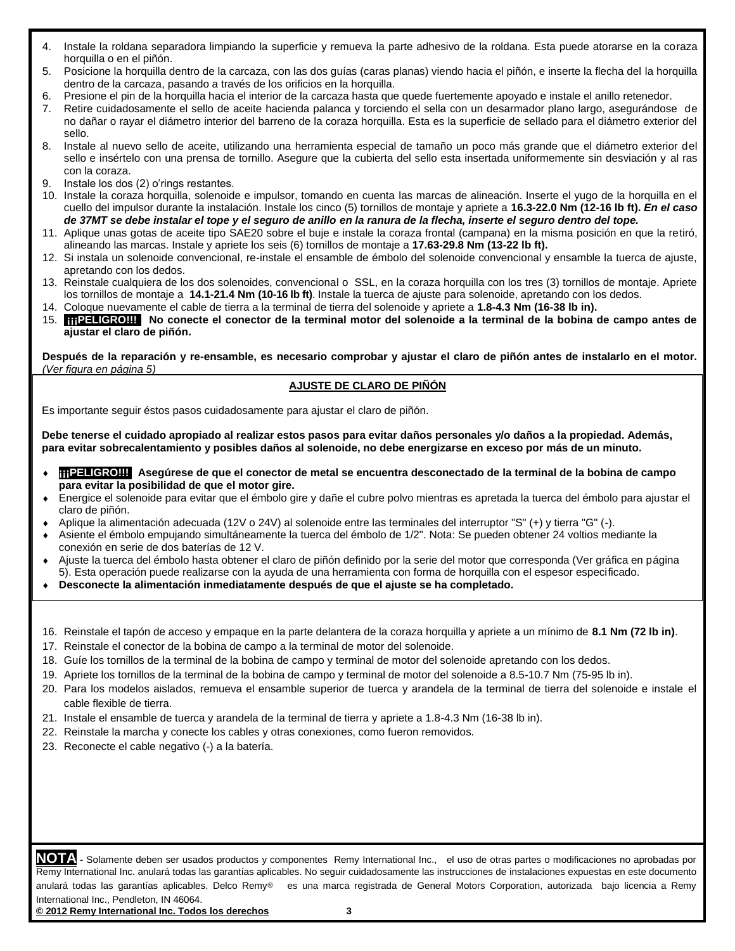- 4. Instale la roldana separadora limpiando la superficie y remueva la parte adhesivo de la roldana. Esta puede atorarse en la coraza horquilla o en el piñón.
- 5. Posicione la horquilla dentro de la carcaza, con las dos guías (caras planas) viendo hacia el piñón, e inserte la flecha del la horquilla dentro de la carcaza, pasando a través de los orificios en la horquilla.
- 6. Presione el pin de la horquilla hacia el interior de la carcaza hasta que quede fuertemente apoyado e instale el anillo retenedor.
- 7. Retire cuidadosamente el sello de aceite hacienda palanca y torciendo el sella con un desarmador plano largo, asegurándose de no dañar o rayar el diámetro interior del barreno de la coraza horquilla. Esta es la superficie de sellado para el diámetro exterior del sello.
- 8. Instale al nuevo sello de aceite, utilizando una herramienta especial de tamaño un poco más grande que el diámetro exterior del sello e insértelo con una prensa de tornillo. Asegure que la cubierta del sello esta insertada uniformemente sin desviación y al ras con la coraza.
- 9. Instale los dos (2) o'rings restantes.
- 10. Instale la coraza horquilla, solenoide e impulsor, tomando en cuenta las marcas de alineación. Inserte el yugo de la horquilla en el cuello del impulsor durante la instalación. Instale los cinco (5) tornillos de montaje y apriete a **16.3-22.0 Nm (12-16 lb ft).** *En el caso de 37MT se debe instalar el tope y el seguro de anillo en la ranura de la flecha, inserte el seguro dentro del tope.*
- 11. Aplique unas gotas de aceite tipo SAE20 sobre el buje e instale la coraza frontal (campana) en la misma posición en que la retiró, alineando las marcas. Instale y apriete los seis (6) tornillos de montaje a **17.63-29.8 Nm (13-22 lb ft).**
- 12. Si instala un solenoide convencional, re-instale el ensamble de émbolo del solenoide convencional y ensamble la tuerca de ajuste, apretando con los dedos.
- 13. Reinstale cualquiera de los dos solenoides, convencional o SSL, en la coraza horquilla con los tres (3) tornillos de montaje. Apriete los tornillos de montaje a **14.1-21.4 Nm (10-16 lb ft)**. Instale la tuerca de ajuste para solenoide, apretando con los dedos.
- 14. Coloque nuevamente el cable de tierra a la terminal de tierra del solenoide y apriete a **1.8-4.3 Nm (16-38 lb in).**
- 15. **¡¡¡PELIGRO!!! No conecte el conector de la terminal motor del solenoide a la terminal de la bobina de campo antes de ajustar el claro de piñón.**

**Después de la reparación y re-ensamble, es necesario comprobar y ajustar el claro de piñón antes de instalarlo en el motor.**  *(Ver figura en página 5)*

## **AJUSTE DE CLARO DE PIÑÓN**

Es importante seguir éstos pasos cuidadosamente para ajustar el claro de piñón.

**Debe tenerse el cuidado apropiado al realizar estos pasos para evitar daños personales y/o daños a la propiedad. Además, para evitar sobrecalentamiento y posibles daños al solenoide, no debe energizarse en exceso por más de un minuto.**

- **TIPELIGRO!!!** Asegúrese de que el conector de metal se encuentra desconectado de la terminal de la bobina de campo **para evitar la posibilidad de que el motor gire.**
- Energice el solenoide para evitar que el émbolo gire y dañe el cubre polvo mientras es apretada la tuerca del émbolo para ajustar el claro de piñón.
- Aplique la alimentación adecuada (12V o 24V) al solenoide entre las terminales del interruptor "S" (+) y tierra "G" (-).
- Asiente el émbolo empujando simultáneamente la tuerca del émbolo de 1/2". Nota: Se pueden obtener 24 voltios mediante la conexión en serie de dos baterías de 12 V.
- Ajuste la tuerca del émbolo hasta obtener el claro de piñón definido por la serie del motor que corresponda (Ver gráfica en página 5). Esta operación puede realizarse con la ayuda de una herramienta con forma de horquilla con el espesor especificado.
- **Desconecte la alimentación inmediatamente después de que el ajuste se ha completado.**
- 16. Reinstale el tapón de acceso y empaque en la parte delantera de la coraza horquilla y apriete a un mínimo de **8.1 Nm (72 lb in)**.
- 17. Reinstale el conector de la bobina de campo a la terminal de motor del solenoide.
- 18. Guíe los tornillos de la terminal de la bobina de campo y terminal de motor del solenoide apretando con los dedos.
- 19. Apriete los tornillos de la terminal de la bobina de campo y terminal de motor del solenoide a 8.5-10.7 Nm (75-95 lb in).
- 20. Para los modelos aislados, remueva el ensamble superior de tuerca y arandela de la terminal de tierra del solenoide e instale el cable flexible de tierra.
- 21. Instale el ensamble de tuerca y arandela de la terminal de tierra y apriete a 1.8-4.3 Nm (16-38 lb in).
- 22. Reinstale la marcha y conecte los cables y otras conexiones, como fueron removidos.
- 23. Reconecte el cable negativo (-) a la batería.

**NOTA -** Solamente deben ser usados productos y componentes Remy International Inc., el uso de otras partes o modificaciones no aprobadas por Remy International Inc. anulará todas las garantías aplicables. No seguir cuidadosamente las instrucciones de instalaciones expuestas en este documento anulará todas las garantías aplicables. Delco Remy<sup>®</sup> es una marca registrada de General Motors Corporation, autorizada bajo licencia a Remy International Inc., Pendleton, IN 46064.

**© 2012 Remy International Inc. Todos los derechos 3**